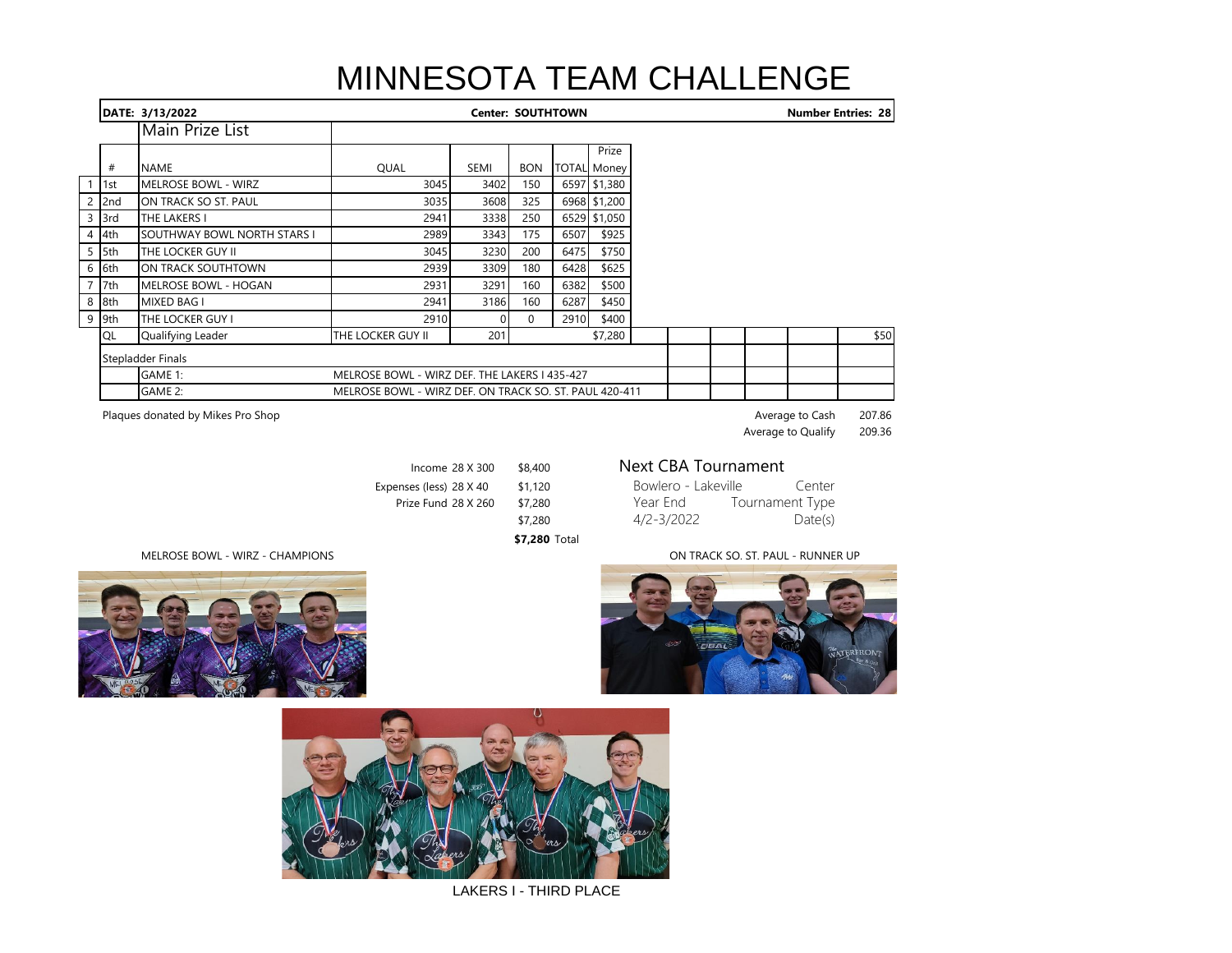## MINNESOTA TEAM CHALLENGE

|         | DATE: 3/13/2022             | <b>Center: SOUTHTOWN</b>                               |                                               |            |      |                    |  |  | <b>Number Entries: 28</b> |  |      |
|---------|-----------------------------|--------------------------------------------------------|-----------------------------------------------|------------|------|--------------------|--|--|---------------------------|--|------|
|         | Main Prize List             |                                                        |                                               |            |      |                    |  |  |                           |  |      |
|         |                             |                                                        |                                               |            |      | Prize              |  |  |                           |  |      |
| #       | <b>NAME</b>                 | QUAL                                                   | SEMI                                          | <b>BON</b> |      | <b>TOTAL Money</b> |  |  |                           |  |      |
| $1$ 1st | <b>MELROSE BOWL - WIRZ</b>  | 3045                                                   | 3402                                          | 150        |      | 6597 \$1,380       |  |  |                           |  |      |
| $2$ 2nd | ON TRACK SO ST. PAUL        | 3035                                                   | 3608                                          | 325        |      | 6968 \$1,200       |  |  |                           |  |      |
| 3 3rd   | THE LAKERS I                | 2941                                                   | 3338                                          | 250        |      | 6529 \$1,050       |  |  |                           |  |      |
| 4 4th   | SOUTHWAY BOWL NORTH STARS I | 2989                                                   | 3343                                          | 175        | 6507 | \$925              |  |  |                           |  |      |
| 5 5th   | THE LOCKER GUY II           | 3045                                                   | 3230                                          | 200        | 6475 | \$750              |  |  |                           |  |      |
| 6 6th   | ON TRACK SOUTHTOWN          | 2939                                                   | 3309                                          | 180        | 6428 | \$625              |  |  |                           |  |      |
| 7 7th   | <b>MELROSE BOWL - HOGAN</b> | 2931                                                   | 3291                                          | 160        | 6382 | \$500              |  |  |                           |  |      |
| 8 8th   | MIXED BAG I                 | 2941                                                   | 3186                                          | 160        | 6287 | \$450              |  |  |                           |  |      |
| 9 9th   | THE LOCKER GUY I            | 2910                                                   |                                               | 0          | 2910 | \$400              |  |  |                           |  |      |
| QL      | Qualifying Leader           | THE LOCKER GUY II                                      | 201                                           |            |      | \$7,280            |  |  |                           |  | \$50 |
|         | Stepladder Finals           |                                                        |                                               |            |      |                    |  |  |                           |  |      |
|         | GAME 1:                     |                                                        | MELROSE BOWL - WIRZ DEF. THE LAKERS I 435-427 |            |      |                    |  |  |                           |  |      |
|         | GAME 2:                     | MELROSE BOWL - WIRZ DEF. ON TRACK SO. ST. PAUL 420-411 |                                               |            |      |                    |  |  |                           |  |      |

Plaques donated by Mikes Pro Shop **Average to Cash** 207.86 Average to Qualify 209.36

| Income 28 X 300       | \$8,400 |
|-----------------------|---------|
| penses (less) 28 X 40 | \$1,120 |
| Prize Fund 28 X 260   | \$7.280 |
|                       | \$7.280 |

## **Next CBA Tournament**

| Expenses (less) 28 X 40 | \$1.120 | Bowlero - Lakeville | Center          |  |
|-------------------------|---------|---------------------|-----------------|--|
| Prize Fund 28 X 260     | \$7,280 | Year End            | Tournament Type |  |
|                         | \$7,280 | 4/2-3/2022          | Date(s)         |  |

MELROSE BOWL - WIRZ - CHAMPIONS **ON TRACK SO. ST. PAUL - RUNNER UP** 





LAKERS I - THIRD PLACE

**\$7,280** Total

| 693) | <b>CEAL</b> |           |            |
|------|-------------|-----------|------------|
|      |             | <b>GM</b> | WATERFRONT |
|      |             |           |            |